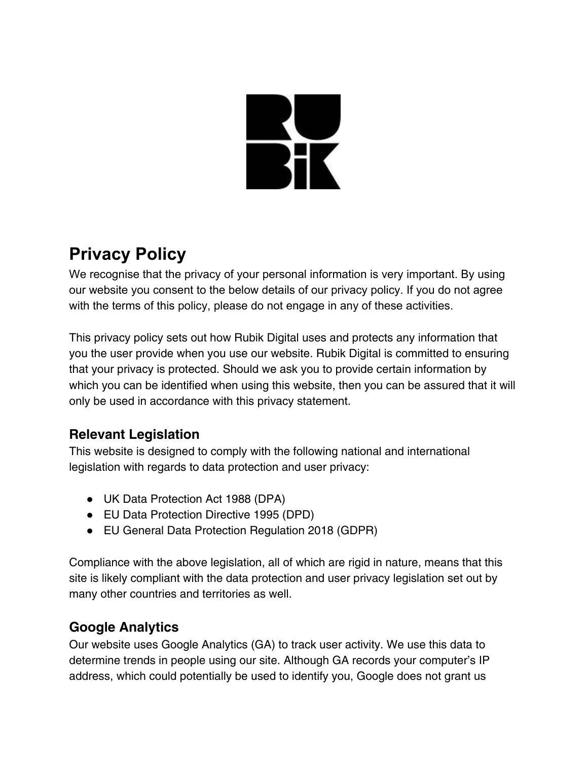# **RANGE**

# **Privacy Policy**

We recognise that the privacy of your personal information is very important. By using our website you consent to the below details of our privacy policy. If you do not agree with the terms of this policy, please do not engage in any of these activities.

This privacy policy sets out how Rubik Digital uses and protects any information that you the user provide when you use our website. Rubik Digital is committed to ensuring that your privacy is protected. Should we ask you to provide certain information by which you can be identified when using this website, then you can be assured that it will only be used in accordance with this privacy statement.

# **Relevant Legislation**

This website is designed to comply with the following national and international legislation with regards to data protection and user privacy:

- UK Data Protection Act 1988 (DPA)
- EU Data Protection Directive 1995 (DPD)
- EU General Data Protection Regulation 2018 (GDPR)

Compliance with the above legislation, all of which are rigid in nature, means that this site is likely compliant with the data protection and user privacy legislation set out by many other countries and territories as well.

# **Google Analytics**

Our website uses Google Analytics (GA) to track user activity. We use this data to determine trends in people using our site. Although GA records your computer's IP address, which could potentially be used to identify you, Google does not grant us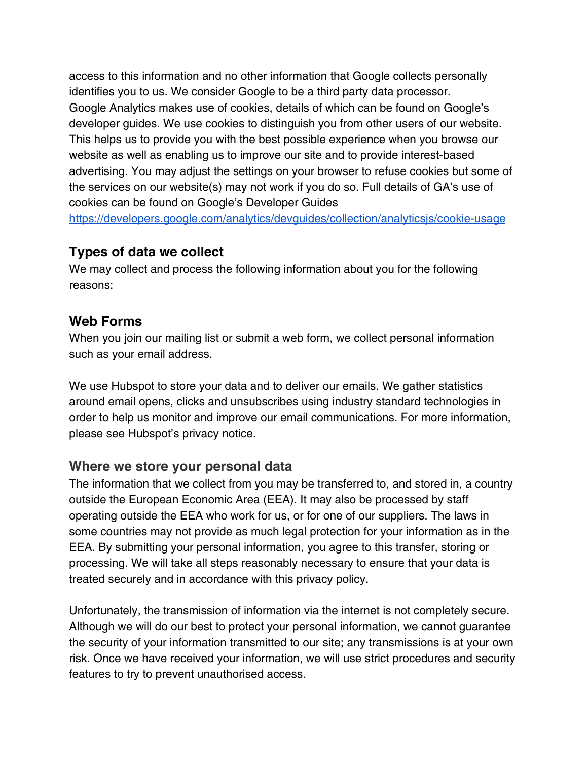access to this information and no other information that Google collects personally identifies you to us. We consider Google to be a third party data processor. Google Analytics makes use of cookies, details of which can be found on Google's developer guides. We use cookies to distinguish you from other users of our website. This helps us to provide you with the best possible experience when you browse our website as well as enabling us to improve our site and to provide interest-based advertising. You may adjust the settings on your browser to refuse cookies but some of the services on our website(s) may not work if you do so. Full details of GA's use of cookies can be found on Google's Developer Guides

<https://developers.google.com/analytics/devguides/collection/analyticsjs/cookie-usage>

#### **Types of data we collect**

We may collect and process the following information about you for the following reasons:

#### **Web Forms**

When you join our mailing list or submit a web form, we collect personal information such as your email address.

We use Hubspot to store your data and to deliver our emails. We gather statistics around email opens, clicks and unsubscribes using industry standard technologies in order to help us monitor and improve our email communications. For more information, please see Hubspot's privacy notice.

#### **Where we store your personal data**

The information that we collect from you may be transferred to, and stored in, a country outside the European Economic Area (EEA). It may also be processed by staff operating outside the EEA who work for us, or for one of our suppliers. The laws in some countries may not provide as much legal protection for your information as in the EEA. By submitting your personal information, you agree to this transfer, storing or processing. We will take all steps reasonably necessary to ensure that your data is treated securely and in accordance with this privacy policy.

Unfortunately, the transmission of information via the internet is not completely secure. Although we will do our best to protect your personal information, we cannot guarantee the security of your information transmitted to our site; any transmissions is at your own risk. Once we have received your information, we will use strict procedures and security features to try to prevent unauthorised access.